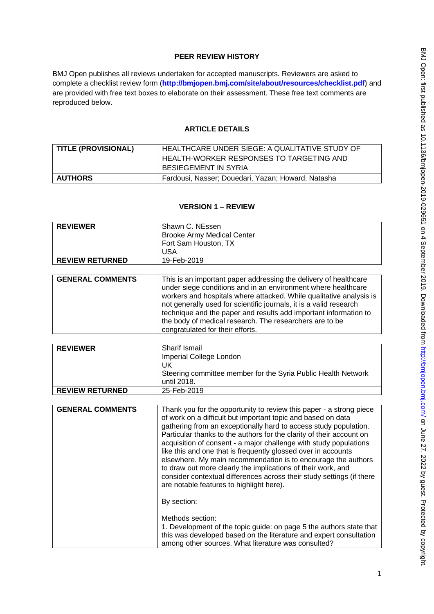# **PEER REVIEW HISTORY**

BMJ Open publishes all reviews undertaken for accepted manuscripts. Reviewers are asked to complete a checklist review form (**[http://bmjopen.bmj.com/site/about/resources/checklist.pdf\)](http://bmjopen.bmj.com/site/about/resources/checklist.pdf)** and are provided with free text boxes to elaborate on their assessment. These free text comments are reproduced below.

# **ARTICLE DETAILS**

| <b>TITLE (PROVISIONAL)</b> | HEALTHCARE UNDER SIEGE: A QUALITATIVE STUDY OF     |
|----------------------------|----------------------------------------------------|
|                            | HEALTH-WORKER RESPONSES TO TARGETING AND           |
|                            | BESIEGEMENT IN SYRIA                               |
| <b>AUTHORS</b>             | Fardousi, Nasser; Douedari, Yazan; Howard, Natasha |

## **VERSION 1 – REVIEW**

| <b>REVIEWER</b>        | Shawn C. NEssen<br><b>Brooke Army Medical Center</b><br>Fort Sam Houston, TX<br><b>USA</b> |
|------------------------|--------------------------------------------------------------------------------------------|
| <b>REVIEW RETURNED</b> | 19-Feb-2019                                                                                |
|                        |                                                                                            |
| ----------             | . .<br>.<br>.<br>. .<br>. .<br>$\sim$ . The set of $\sim$                                  |

| <b>GENERAL COMMENTS</b> | This is an important paper addressing the delivery of healthcare<br>under siege conditions and in an environment where healthcare<br>workers and hospitals where attacked. While qualitative analysis is<br>not generally used for scientific journals, it is a valid research<br>technique and the paper and results add important information to<br>the body of medical research. The researchers are to be<br>congratulated for their efforts. |
|-------------------------|---------------------------------------------------------------------------------------------------------------------------------------------------------------------------------------------------------------------------------------------------------------------------------------------------------------------------------------------------------------------------------------------------------------------------------------------------|
|-------------------------|---------------------------------------------------------------------------------------------------------------------------------------------------------------------------------------------------------------------------------------------------------------------------------------------------------------------------------------------------------------------------------------------------------------------------------------------------|

| <b>REVIEWER</b>         | Sharif Ismail                                                                                                                                                                                                                                                                                                                                                                                                                                                                                                                                                                                                                                                                              |
|-------------------------|--------------------------------------------------------------------------------------------------------------------------------------------------------------------------------------------------------------------------------------------------------------------------------------------------------------------------------------------------------------------------------------------------------------------------------------------------------------------------------------------------------------------------------------------------------------------------------------------------------------------------------------------------------------------------------------------|
|                         | Imperial College London                                                                                                                                                                                                                                                                                                                                                                                                                                                                                                                                                                                                                                                                    |
|                         | UK.                                                                                                                                                                                                                                                                                                                                                                                                                                                                                                                                                                                                                                                                                        |
|                         | Steering committee member for the Syria Public Health Network                                                                                                                                                                                                                                                                                                                                                                                                                                                                                                                                                                                                                              |
|                         | until 2018.                                                                                                                                                                                                                                                                                                                                                                                                                                                                                                                                                                                                                                                                                |
| <b>REVIEW RETURNED</b>  | 25-Feb-2019                                                                                                                                                                                                                                                                                                                                                                                                                                                                                                                                                                                                                                                                                |
|                         |                                                                                                                                                                                                                                                                                                                                                                                                                                                                                                                                                                                                                                                                                            |
| <b>GENERAL COMMENTS</b> | Thank you for the opportunity to review this paper - a strong piece<br>of work on a difficult but important topic and based on data<br>gathering from an exceptionally hard to access study population.<br>Particular thanks to the authors for the clarity of their account on<br>acquisition of consent - a major challenge with study populations<br>like this and one that is frequently glossed over in accounts<br>elsewhere. My main recommendation is to encourage the authors<br>to draw out more clearly the implications of their work, and<br>consider contextual differences across their study settings (if there<br>are notable features to highlight here).<br>By section: |
|                         | Methods section:<br>1. Development of the topic guide: on page 5 the authors state that<br>this was developed based on the literature and expert consultation<br>among other sources. What literature was consulted?                                                                                                                                                                                                                                                                                                                                                                                                                                                                       |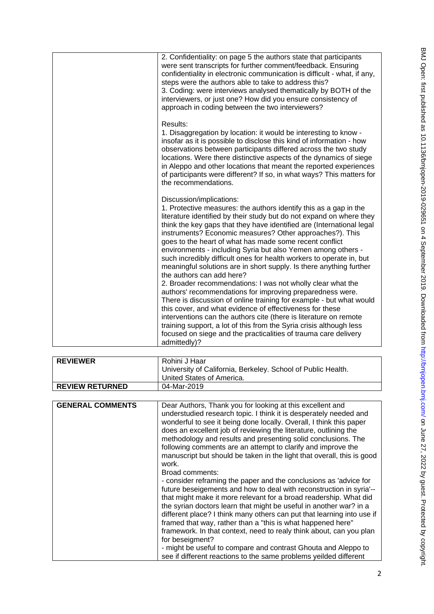| 2. Confidentiality: on page 5 the authors state that participants<br>were sent transcripts for further comment/feedback. Ensuring<br>confidentiality in electronic communication is difficult - what, if any,<br>steps were the authors able to take to address this?<br>3. Coding: were interviews analysed thematically by BOTH of the<br>interviewers, or just one? How did you ensure consistency of<br>approach in coding between the two interviewers?                                                                                                                                                                                                                                                                                                                                                                                                                                                                                                                                                                                                                                                    |
|-----------------------------------------------------------------------------------------------------------------------------------------------------------------------------------------------------------------------------------------------------------------------------------------------------------------------------------------------------------------------------------------------------------------------------------------------------------------------------------------------------------------------------------------------------------------------------------------------------------------------------------------------------------------------------------------------------------------------------------------------------------------------------------------------------------------------------------------------------------------------------------------------------------------------------------------------------------------------------------------------------------------------------------------------------------------------------------------------------------------|
| Results:<br>1. Disaggregation by location: it would be interesting to know -<br>insofar as it is possible to disclose this kind of information - how<br>observations between participants differed across the two study<br>locations. Were there distinctive aspects of the dynamics of siege<br>in Aleppo and other locations that meant the reported experiences<br>of participants were different? If so, in what ways? This matters for<br>the recommendations.                                                                                                                                                                                                                                                                                                                                                                                                                                                                                                                                                                                                                                             |
| Discussion/implications:<br>1. Protective measures: the authors identify this as a gap in the<br>literature identified by their study but do not expand on where they<br>think the key gaps that they have identified are (International legal<br>instruments? Economic measures? Other approaches?). This<br>goes to the heart of what has made some recent conflict<br>environments - including Syria but also Yemen among others -<br>such incredibly difficult ones for health workers to operate in, but<br>meaningful solutions are in short supply. Is there anything further<br>the authors can add here?<br>2. Broader recommendations: I was not wholly clear what the<br>authors' recommendations for improving preparedness were.<br>There is discussion of online training for example - but what would<br>this cover, and what evidence of effectiveness for these<br>interventions can the authors cite (there is literature on remote<br>training support, a lot of this from the Syria crisis although less<br>focused on siege and the practicalities of trauma care delivery<br>admittedly)? |

| <b>REVIEWER</b>         | Rohini J Haar                                                                                                                                                                                                                                                                                                                                                                                                                                                                                                                                                                                                                                                                                                                                                                                                                                                                                                                                                                                                                                                                                                |
|-------------------------|--------------------------------------------------------------------------------------------------------------------------------------------------------------------------------------------------------------------------------------------------------------------------------------------------------------------------------------------------------------------------------------------------------------------------------------------------------------------------------------------------------------------------------------------------------------------------------------------------------------------------------------------------------------------------------------------------------------------------------------------------------------------------------------------------------------------------------------------------------------------------------------------------------------------------------------------------------------------------------------------------------------------------------------------------------------------------------------------------------------|
|                         | University of California, Berkeley. School of Public Health.                                                                                                                                                                                                                                                                                                                                                                                                                                                                                                                                                                                                                                                                                                                                                                                                                                                                                                                                                                                                                                                 |
|                         | United States of America.                                                                                                                                                                                                                                                                                                                                                                                                                                                                                                                                                                                                                                                                                                                                                                                                                                                                                                                                                                                                                                                                                    |
| <b>REVIEW RETURNED</b>  | 04-Mar-2019                                                                                                                                                                                                                                                                                                                                                                                                                                                                                                                                                                                                                                                                                                                                                                                                                                                                                                                                                                                                                                                                                                  |
|                         |                                                                                                                                                                                                                                                                                                                                                                                                                                                                                                                                                                                                                                                                                                                                                                                                                                                                                                                                                                                                                                                                                                              |
| <b>GENERAL COMMENTS</b> | Dear Authors, Thank you for looking at this excellent and<br>understudied research topic. I think it is desperately needed and<br>wonderful to see it being done locally. Overall, I think this paper<br>does an excellent job of reviewing the literature, outlining the<br>methodology and results and presenting solid conclusions. The<br>following comments are an attempt to clarify and improve the<br>manuscript but should be taken in the light that overall, this is good<br>work.<br>Broad comments:<br>- consider reframing the paper and the conclusions as 'advice for<br>future beseigements and how to deal with reconstruction in syria'--<br>that might make it more relevant for a broad readership. What did<br>the syrian doctors learn that might be useful in another war? in a<br>different place? I think many others can put that learning into use if<br>framed that way, rather than a "this is what happened here"<br>framework. In that context, need to realy think about, can you plan<br>for beseigment?<br>- might be useful to compare and contrast Ghouta and Aleppo to |
|                         | see if different reactions to the same problems yeilded different                                                                                                                                                                                                                                                                                                                                                                                                                                                                                                                                                                                                                                                                                                                                                                                                                                                                                                                                                                                                                                            |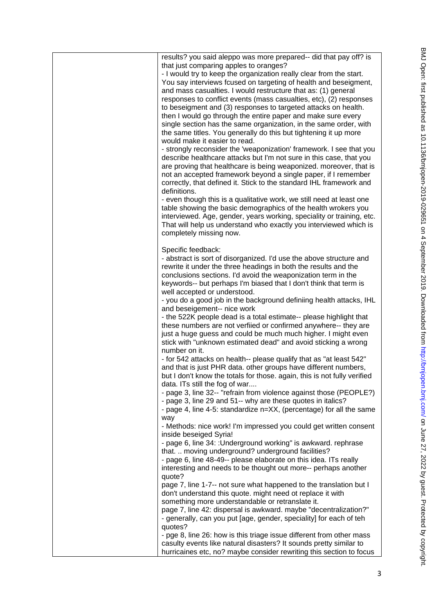| results? you said aleppo was more prepared-- did that pay off? is<br>that just comparing apples to oranges?<br>- I would try to keep the organization really clear from the start.<br>You say interviews fcused on targeting of health and beseigment,<br>and mass casualties. I would restructure that as: (1) general<br>responses to conflict events (mass casualties, etc), (2) responses<br>to beseigment and (3) responses to targeted attacks on health.<br>then I would go through the entire paper and make sure every<br>single section has the same organization, in the same order, with<br>the same titles. You generally do this but tightening it up more<br>would make it easier to read.<br>- strongly reconsider the 'weaponization' framework. I see that you<br>describe healthcare attacks but I'm not sure in this case, that you<br>are proving that healthcare is being weaponized. moreover, that is<br>not an accepted framework beyond a single paper, if I remember<br>correctly, that defined it. Stick to the standard IHL framework and<br>definitions.<br>- even though this is a qualitative work, we still need at least one<br>table showing the basic demographics of the health wrokers you<br>interviewed. Age, gender, years working, speciality or training, etc.<br>That will help us understand who exactly you interviewed which is<br>completely missing now. |
|-----------------------------------------------------------------------------------------------------------------------------------------------------------------------------------------------------------------------------------------------------------------------------------------------------------------------------------------------------------------------------------------------------------------------------------------------------------------------------------------------------------------------------------------------------------------------------------------------------------------------------------------------------------------------------------------------------------------------------------------------------------------------------------------------------------------------------------------------------------------------------------------------------------------------------------------------------------------------------------------------------------------------------------------------------------------------------------------------------------------------------------------------------------------------------------------------------------------------------------------------------------------------------------------------------------------------------------------------------------------------------------------------------------|
| Specific feedback:<br>- abstract is sort of disorganized. I'd use the above structure and<br>rewrite it under the three headings in both the results and the<br>conclusions sections. I'd avoid the weaponization term in the<br>keywords-- but perhaps I'm biased that I don't think that term is<br>well accepted or understood.<br>- you do a good job in the background definiing health attacks, IHL                                                                                                                                                                                                                                                                                                                                                                                                                                                                                                                                                                                                                                                                                                                                                                                                                                                                                                                                                                                                 |
| and beseigement-- nice work<br>- the 522K people dead is a total estimate-- please highlight that<br>these numbers are not verfiied or confirmed anywhere-- they are<br>just a huge guess and could be much much higher. I might even<br>stick with "unknown estimated dead" and avoid sticking a wrong<br>number on it.                                                                                                                                                                                                                                                                                                                                                                                                                                                                                                                                                                                                                                                                                                                                                                                                                                                                                                                                                                                                                                                                                  |
| - for 542 attacks on health-- please qualify that as "at least 542"<br>and that is just PHR data. other groups have different numbers,<br>but I don't know the totals for those. again, this is not fully verified<br>data. ITs still the fog of war<br>- page 3, line 32-- "refrain from violence against those (PEOPLE?)<br>- page 3, line 29 and 51-- why are these quotes in italics?                                                                                                                                                                                                                                                                                                                                                                                                                                                                                                                                                                                                                                                                                                                                                                                                                                                                                                                                                                                                                 |
| - page 4, line 4-5: standardize n=XX, (percentage) for all the same<br>way<br>- Methods: nice work! I'm impressed you could get written consent<br>inside beseiged Syria!                                                                                                                                                                                                                                                                                                                                                                                                                                                                                                                                                                                                                                                                                                                                                                                                                                                                                                                                                                                                                                                                                                                                                                                                                                 |
| - page 6, line 34: : Underground working" is awkward. rephrase<br>that.  moving underground? underground facilities?<br>- page 6, line 48-49-- please elaborate on this idea. ITs really<br>interesting and needs to be thought out more-- perhaps another                                                                                                                                                                                                                                                                                                                                                                                                                                                                                                                                                                                                                                                                                                                                                                                                                                                                                                                                                                                                                                                                                                                                                |
| quote?<br>page 7, line 1-7-- not sure what happened to the translation but I<br>don't understand this quote. might need ot replace it with<br>something more understandable or retranslate it.                                                                                                                                                                                                                                                                                                                                                                                                                                                                                                                                                                                                                                                                                                                                                                                                                                                                                                                                                                                                                                                                                                                                                                                                            |
| page 7, line 42: dispersal is awkward. maybe "decentralization?"<br>- generally, can you put [age, gender, speciality] for each of teh<br>quotes?<br>- pge 8, line 26: how is this triage issue different from other mass                                                                                                                                                                                                                                                                                                                                                                                                                                                                                                                                                                                                                                                                                                                                                                                                                                                                                                                                                                                                                                                                                                                                                                                 |
| casulty events like natural disasters? It sounds pretty similar to<br>hurricaines etc, no? maybe consider rewriting this section to focus                                                                                                                                                                                                                                                                                                                                                                                                                                                                                                                                                                                                                                                                                                                                                                                                                                                                                                                                                                                                                                                                                                                                                                                                                                                                 |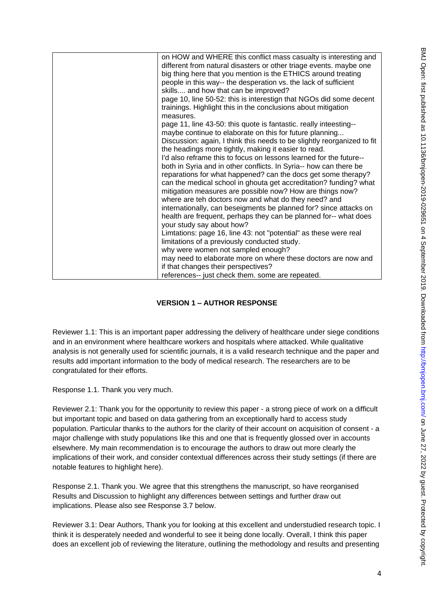| on HOW and WHERE this conflict mass casualty is interesting and<br>different from natural disasters or other triage events. maybe one<br>big thing here that you mention is the ETHICS around treating<br>people in this way-- the desperation vs. the lack of sufficient<br>skills and how that can be improved?<br>page 10, line 50-52: this is interestign that NGOs did some decent<br>trainings. Highlight this in the conclusions about mitigation<br>measures.<br>page 11, line 43-50: this quote is fantastic. really inteesting--<br>maybe continue to elaborate on this for future planning<br>Discussion: again, I think this needs to be slightly reorganized to fit<br>the headings more tightly, making it easier to read.<br>I'd also reframe this to focus on lessons learned for the future--<br>both in Syria and in other conflicts. In Syria-- how can there be<br>reparations for what happened? can the docs get some therapy?<br>can the medical school in ghouta get accreditation? funding? what<br>mitigation measures are possible now? How are things now?<br>where are teh doctors now and what do they need? and<br>internationally, can beseigments be planned for? since attacks on<br>health are frequent, perhaps they can be planned for-- what does<br>your study say about how?<br>Limtations: page 16, line 43: not "potential" as these were real<br>limitations of a previously conducted study.<br>why were women not sampled enough?<br>may need to elaborate more on where these doctors are now and |
|-------------------------------------------------------------------------------------------------------------------------------------------------------------------------------------------------------------------------------------------------------------------------------------------------------------------------------------------------------------------------------------------------------------------------------------------------------------------------------------------------------------------------------------------------------------------------------------------------------------------------------------------------------------------------------------------------------------------------------------------------------------------------------------------------------------------------------------------------------------------------------------------------------------------------------------------------------------------------------------------------------------------------------------------------------------------------------------------------------------------------------------------------------------------------------------------------------------------------------------------------------------------------------------------------------------------------------------------------------------------------------------------------------------------------------------------------------------------------------------------------------------------------------------------------|
| if that changes their perspectives?<br>references-- just check them. some are repeated.                                                                                                                                                                                                                                                                                                                                                                                                                                                                                                                                                                                                                                                                                                                                                                                                                                                                                                                                                                                                                                                                                                                                                                                                                                                                                                                                                                                                                                                         |
|                                                                                                                                                                                                                                                                                                                                                                                                                                                                                                                                                                                                                                                                                                                                                                                                                                                                                                                                                                                                                                                                                                                                                                                                                                                                                                                                                                                                                                                                                                                                                 |

## **VERSION 1 – AUTHOR RESPONSE**

Reviewer 1.1: This is an important paper addressing the delivery of healthcare under siege conditions and in an environment where healthcare workers and hospitals where attacked. While qualitative analysis is not generally used for scientific journals, it is a valid research technique and the paper and results add important information to the body of medical research. The researchers are to be congratulated for their efforts.

Response 1.1. Thank you very much.

Reviewer 2.1: Thank you for the opportunity to review this paper - a strong piece of work on a difficult but important topic and based on data gathering from an exceptionally hard to access study population. Particular thanks to the authors for the clarity of their account on acquisition of consent - a major challenge with study populations like this and one that is frequently glossed over in accounts elsewhere. My main recommendation is to encourage the authors to draw out more clearly the implications of their work, and consider contextual differences across their study settings (if there are notable features to highlight here).

Response 2.1. Thank you. We agree that this strengthens the manuscript, so have reorganised Results and Discussion to highlight any differences between settings and further draw out implications. Please also see Response 3.7 below.

Reviewer 3.1: Dear Authors, Thank you for looking at this excellent and understudied research topic. I think it is desperately needed and wonderful to see it being done locally. Overall, I think this paper does an excellent job of reviewing the literature, outlining the methodology and results and presenting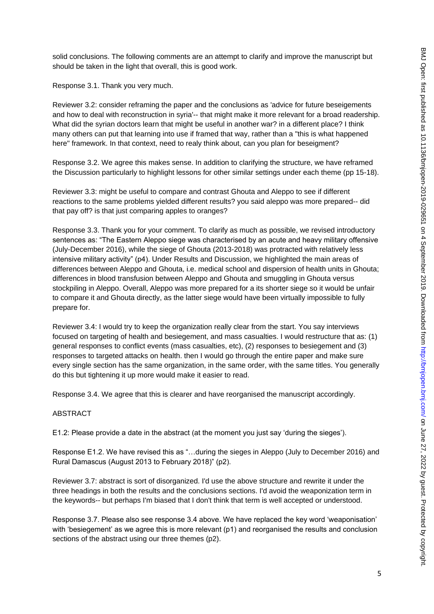solid conclusions. The following comments are an attempt to clarify and improve the manuscript but should be taken in the light that overall, this is good work.

Response 3.1. Thank you very much.

Reviewer 3.2: consider reframing the paper and the conclusions as 'advice for future beseigements and how to deal with reconstruction in syria'-- that might make it more relevant for a broad readership. What did the syrian doctors learn that might be useful in another war? in a different place? I think many others can put that learning into use if framed that way, rather than a "this is what happened here" framework. In that context, need to realy think about, can you plan for beseigment?

Response 3.2. We agree this makes sense. In addition to clarifying the structure, we have reframed the Discussion particularly to highlight lessons for other similar settings under each theme (pp 15-18).

Reviewer 3.3: might be useful to compare and contrast Ghouta and Aleppo to see if different reactions to the same problems yielded different results? you said aleppo was more prepared-- did that pay off? is that just comparing apples to oranges?

Response 3.3. Thank you for your comment. To clarify as much as possible, we revised introductory sentences as: "The Eastern Aleppo siege was characterised by an acute and heavy military offensive (July-December 2016), while the siege of Ghouta (2013-2018) was protracted with relatively less intensive military activity" (p4). Under Results and Discussion, we highlighted the main areas of differences between Aleppo and Ghouta, i.e. medical school and dispersion of health units in Ghouta; differences in blood transfusion between Aleppo and Ghouta and smuggling in Ghouta versus stockpiling in Aleppo. Overall, Aleppo was more prepared for a its shorter siege so it would be unfair to compare it and Ghouta directly, as the latter siege would have been virtually impossible to fully prepare for.

Reviewer 3.4: I would try to keep the organization really clear from the start. You say interviews focused on targeting of health and besiegement, and mass casualties. I would restructure that as: (1) general responses to conflict events (mass casualties, etc), (2) responses to besiegement and (3) responses to targeted attacks on health. then I would go through the entire paper and make sure every single section has the same organization, in the same order, with the same titles. You generally do this but tightening it up more would make it easier to read.

Response 3.4. We agree that this is clearer and have reorganised the manuscript accordingly.

## ABSTRACT

E1.2: Please provide a date in the abstract (at the moment you just say 'during the sieges').

Response E1.2. We have revised this as "…during the sieges in Aleppo (July to December 2016) and Rural Damascus (August 2013 to February 2018)" (p2).

Reviewer 3.7: abstract is sort of disorganized. I'd use the above structure and rewrite it under the three headings in both the results and the conclusions sections. I'd avoid the weaponization term in the keywords-- but perhaps I'm biased that I don't think that term is well accepted or understood.

Response 3.7. Please also see response 3.4 above. We have replaced the key word 'weaponisation' with 'besiegement' as we agree this is more relevant (p1) and reorganised the results and conclusion sections of the abstract using our three themes (p2).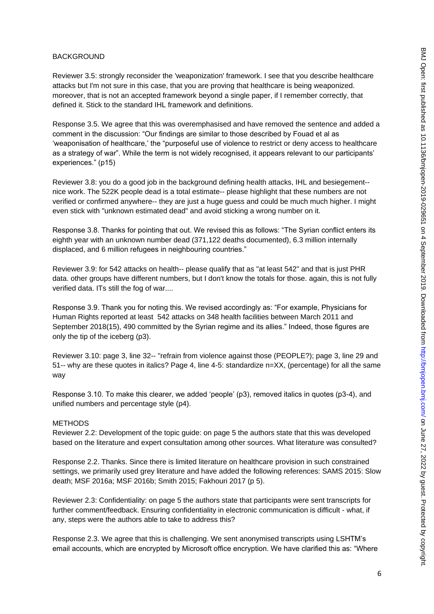## BACKGROUND

Reviewer 3.5: strongly reconsider the 'weaponization' framework. I see that you describe healthcare attacks but I'm not sure in this case, that you are proving that healthcare is being weaponized. moreover, that is not an accepted framework beyond a single paper, if I remember correctly, that defined it. Stick to the standard IHL framework and definitions.

Response 3.5. We agree that this was overemphasised and have removed the sentence and added a comment in the discussion: "Our findings are similar to those described by Fouad et al as 'weaponisation of healthcare,' the "purposeful use of violence to restrict or deny access to healthcare as a strategy of war". While the term is not widely recognised, it appears relevant to our participants' experiences." (p15)

Reviewer 3.8: you do a good job in the background defining health attacks, IHL and besiegement- nice work. The 522K people dead is a total estimate-- please highlight that these numbers are not verified or confirmed anywhere-- they are just a huge guess and could be much much higher. I might even stick with "unknown estimated dead" and avoid sticking a wrong number on it.

Response 3.8. Thanks for pointing that out. We revised this as follows: "The Syrian conflict enters its eighth year with an unknown number dead (371,122 deaths documented), 6.3 million internally displaced, and 6 million refugees in neighbouring countries."

Reviewer 3.9: for 542 attacks on health-- please qualify that as "at least 542" and that is just PHR data. other groups have different numbers, but I don't know the totals for those. again, this is not fully verified data. ITs still the fog of war....

Response 3.9. Thank you for noting this. We revised accordingly as: "For example, Physicians for Human Rights reported at least 542 attacks on 348 health facilities between March 2011 and September 2018(15), 490 committed by the Syrian regime and its allies." Indeed, those figures are only the tip of the iceberg (p3).

Reviewer 3.10: page 3, line 32-- "refrain from violence against those (PEOPLE?); page 3, line 29 and 51-- why are these quotes in italics? Page 4, line 4-5: standardize n=XX, (percentage) for all the same way

Response 3.10. To make this clearer, we added 'people' (p3), removed italics in quotes (p3-4), and unified numbers and percentage style (p4).

#### METHODS

Reviewer 2.2: Development of the topic guide: on page 5 the authors state that this was developed based on the literature and expert consultation among other sources. What literature was consulted?

Response 2.2. Thanks. Since there is limited literature on healthcare provision in such constrained settings, we primarily used grey literature and have added the following references: SAMS 2015: Slow death; MSF 2016a; MSF 2016b; Smith 2015; Fakhouri 2017 (p 5).

Reviewer 2.3: Confidentiality: on page 5 the authors state that participants were sent transcripts for further comment/feedback. Ensuring confidentiality in electronic communication is difficult - what, if any, steps were the authors able to take to address this?

Response 2.3. We agree that this is challenging. We sent anonymised transcripts using LSHTM's email accounts, which are encrypted by Microsoft office encryption. We have clarified this as: "Where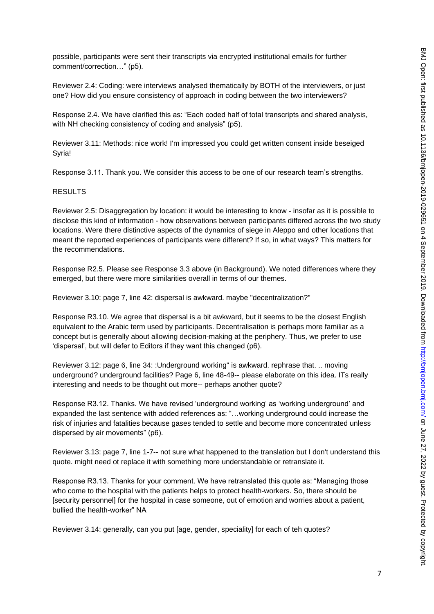possible, participants were sent their transcripts via encrypted institutional emails for further comment/correction…" (p5).

Reviewer 2.4: Coding: were interviews analysed thematically by BOTH of the interviewers, or just one? How did you ensure consistency of approach in coding between the two interviewers?

Response 2.4. We have clarified this as: "Each coded half of total transcripts and shared analysis, with NH checking consistency of coding and analysis" (p5).

Reviewer 3.11: Methods: nice work! I'm impressed you could get written consent inside beseiged Syria!

Response 3.11. Thank you. We consider this access to be one of our research team's strengths.

## RESULTS

Reviewer 2.5: Disaggregation by location: it would be interesting to know - insofar as it is possible to disclose this kind of information - how observations between participants differed across the two study locations. Were there distinctive aspects of the dynamics of siege in Aleppo and other locations that meant the reported experiences of participants were different? If so, in what ways? This matters for the recommendations.

Response R2.5. Please see Response 3.3 above (in Background). We noted differences where they emerged, but there were more similarities overall in terms of our themes.

Reviewer 3.10: page 7, line 42: dispersal is awkward. maybe "decentralization?"

Response R3.10. We agree that dispersal is a bit awkward, but it seems to be the closest English equivalent to the Arabic term used by participants. Decentralisation is perhaps more familiar as a concept but is generally about allowing decision-making at the periphery. Thus, we prefer to use 'dispersal', but will defer to Editors if they want this changed (p6).

Reviewer 3.12: page 6, line 34: :Underground working" is awkward. rephrase that. .. moving underground? underground facilities? Page 6, line 48-49-- please elaborate on this idea. ITs really interesting and needs to be thought out more-- perhaps another quote?

Response R3.12. Thanks. We have revised 'underground working' as 'working underground' and expanded the last sentence with added references as: "…working underground could increase the risk of injuries and fatalities because gases tended to settle and become more concentrated unless dispersed by air movements" (p6).

Reviewer 3.13: page 7, line 1-7-- not sure what happened to the translation but I don't understand this quote. might need ot replace it with something more understandable or retranslate it.

Response R3.13. Thanks for your comment. We have retranslated this quote as: "Managing those who come to the hospital with the patients helps to protect health-workers. So, there should be [security personnel] for the hospital in case someone, out of emotion and worries about a patient, bullied the health-worker" NA

Reviewer 3.14: generally, can you put [age, gender, speciality] for each of teh quotes?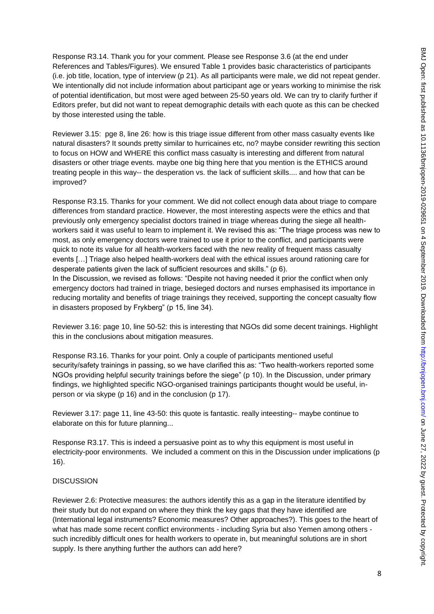Response R3.14. Thank you for your comment. Please see Response 3.6 (at the end under References and Tables/Figures). We ensured Table 1 provides basic characteristics of participants (i.e. job title, location, type of interview (p 21). As all participants were male, we did not repeat gender. We intentionally did not include information about participant age or years working to minimise the risk of potential identification, but most were aged between 25-50 years old. We can try to clarify further if Editors prefer, but did not want to repeat demographic details with each quote as this can be checked by those interested using the table.

Reviewer 3.15: pge 8, line 26: how is this triage issue different from other mass casualty events like natural disasters? It sounds pretty similar to hurricaines etc, no? maybe consider rewriting this section to focus on HOW and WHERE this conflict mass casualty is interesting and different from natural disasters or other triage events. maybe one big thing here that you mention is the ETHICS around treating people in this way-- the desperation vs. the lack of sufficient skills.... and how that can be improved?

Response R3.15. Thanks for your comment. We did not collect enough data about triage to compare differences from standard practice. However, the most interesting aspects were the ethics and that previously only emergency specialist doctors trained in triage whereas during the siege all healthworkers said it was useful to learn to implement it. We revised this as: "The triage process was new to most, as only emergency doctors were trained to use it prior to the conflict, and participants were quick to note its value for all health-workers faced with the new reality of frequent mass casualty events […] Triage also helped health-workers deal with the ethical issues around rationing care for desperate patients given the lack of sufficient resources and skills." (p 6).

In the Discussion, we revised as follows: "Despite not having needed it prior the conflict when only emergency doctors had trained in triage, besieged doctors and nurses emphasised its importance in reducing mortality and benefits of triage trainings they received, supporting the concept casualty flow in disasters proposed by Frykberg" (p 15, line 34).

Reviewer 3.16: page 10, line 50-52: this is interesting that NGOs did some decent trainings. Highlight this in the conclusions about mitigation measures.

Response R3.16. Thanks for your point. Only a couple of participants mentioned useful security/safety trainings in passing, so we have clarified this as: "Two health-workers reported some NGOs providing helpful security trainings before the siege" (p 10). In the Discussion, under primary findings, we highlighted specific NGO-organised trainings participants thought would be useful, inperson or via skype (p 16) and in the conclusion (p 17).

Reviewer 3.17: page 11, line 43-50: this quote is fantastic. really inteesting-- maybe continue to elaborate on this for future planning...

Response R3.17. This is indeed a persuasive point as to why this equipment is most useful in electricity-poor environments. We included a comment on this in the Discussion under implications (p 16).

## **DISCUSSION**

Reviewer 2.6: Protective measures: the authors identify this as a gap in the literature identified by their study but do not expand on where they think the key gaps that they have identified are (International legal instruments? Economic measures? Other approaches?). This goes to the heart of what has made some recent conflict environments - including Syria but also Yemen among others such incredibly difficult ones for health workers to operate in, but meaningful solutions are in short supply. Is there anything further the authors can add here?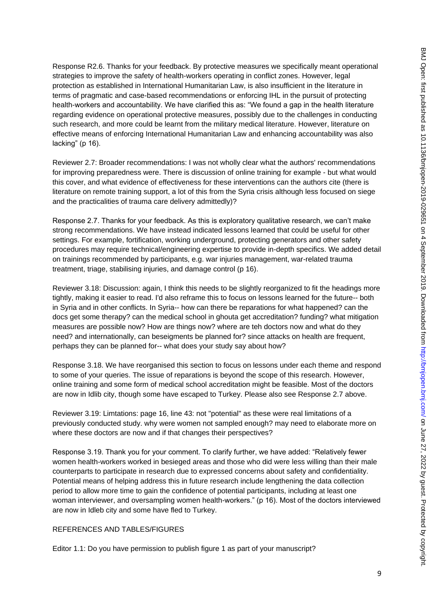Response R2.6. Thanks for your feedback. By protective measures we specifically meant operational strategies to improve the safety of health-workers operating in conflict zones. However, legal protection as established in International Humanitarian Law, is also insufficient in the literature in terms of pragmatic and case-based recommendations or enforcing IHL in the pursuit of protecting health-workers and accountability. We have clarified this as: "We found a gap in the health literature regarding evidence on operational protective measures, possibly due to the challenges in conducting such research, and more could be learnt from the military medical literature. However, literature on effective means of enforcing International Humanitarian Law and enhancing accountability was also lacking" (p 16).

Reviewer 2.7: Broader recommendations: I was not wholly clear what the authors' recommendations for improving preparedness were. There is discussion of online training for example - but what would this cover, and what evidence of effectiveness for these interventions can the authors cite (there is literature on remote training support, a lot of this from the Syria crisis although less focused on siege and the practicalities of trauma care delivery admittedly)?

Response 2.7. Thanks for your feedback. As this is exploratory qualitative research, we can't make strong recommendations. We have instead indicated lessons learned that could be useful for other settings. For example, fortification, working underground, protecting generators and other safety procedures may require technical/engineering expertise to provide in-depth specifics. We added detail on trainings recommended by participants, e.g. war injuries management, war-related trauma treatment, triage, stabilising injuries, and damage control (p 16).

Reviewer 3.18: Discussion: again, I think this needs to be slightly reorganized to fit the headings more tightly, making it easier to read. I'd also reframe this to focus on lessons learned for the future-- both in Syria and in other conflicts. In Syria-- how can there be reparations for what happened? can the docs get some therapy? can the medical school in ghouta get accreditation? funding? what mitigation measures are possible now? How are things now? where are teh doctors now and what do they need? and internationally, can beseigments be planned for? since attacks on health are frequent, perhaps they can be planned for-- what does your study say about how?

Response 3.18. We have reorganised this section to focus on lessons under each theme and respond to some of your queries. The issue of reparations is beyond the scope of this research. However, online training and some form of medical school accreditation might be feasible. Most of the doctors are now in Idlib city, though some have escaped to Turkey. Please also see Response 2.7 above.

Reviewer 3.19: Limtations: page 16, line 43: not "potential" as these were real limitations of a previously conducted study. why were women not sampled enough? may need to elaborate more on where these doctors are now and if that changes their perspectives?

Response 3.19. Thank you for your comment. To clarify further, we have added: "Relatively fewer women health-workers worked in besieged areas and those who did were less willing than their male counterparts to participate in research due to expressed concerns about safety and confidentiality. Potential means of helping address this in future research include lengthening the data collection period to allow more time to gain the confidence of potential participants, including at least one woman interviewer, and oversampling women health-workers." (p 16). Most of the doctors interviewed are now in Idleb city and some have fled to Turkey.

## REFERENCES AND TABLES/FIGURES

Editor 1.1: Do you have permission to publish figure 1 as part of your manuscript?